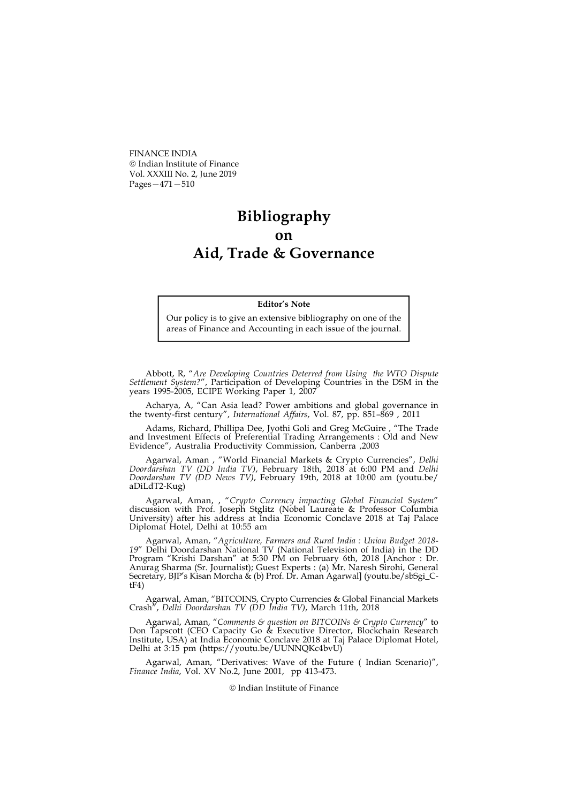FINANCE INDIA Indian Institute of Finance Vol. XXXIII No. 2, June 2019 Pages—471—510

## Bibliography on Aid, Trade & Governance

## Editor's Note

Our policy is to give an extensive bibliography on one of the areas of Finance and Accounting in each issue of the journal.

Abbott, R, "Are Developing Countries Deterred from Using the WTO Dispute Settlement System?", Participation of Developing Countries in the DSM in the years 1995-2005, ECIPE Working Paper 1, 2007

Acharya, A, "Can Asia lead? Power ambitions and global governance in the twenty-first century", International Affairs, Vol. 87, pp. 851–869 , 2011

Adams, Richard, Phillipa Dee, Jyothi Goli and Greg McGuire , "The Trade and Investment Effects of Preferential Trading Arrangements : Old and New Evidence", Australia Productivity Commission, Canberra ,2003

Agarwal, Aman, "World Financial Markets & Crypto Currencies", Delhi Doordarshan TV (DD India TV), February 18th, 2018 at 6:00 PM and Delhi Doordarshan TV (DD News TV), February 19th, 2018 at 10:00 am (youtu.be/ aDiLdT2-Kug)

Agarwal, Aman, , "Crypto Currency impacting Global Financial System" discussion with Prof. Joseph Stglitz (Nobel Laureate & Professor Columbia University) after his address at India Economic Conclave 2018 at Taj Palace Diplomat Hotel, Delhi at 10:55 am

Agarwal, Aman, "Agriculture, Farmers and Rural India : Union Budget 2018- 19" Delhi Doordarshan National TV (National Television of India) in the DD Program "Krishi Darshan" at 5:30 PM on February 6th, 2018 [Anchor : Dr. Anurag Sharma (Sr. Journalist); Guest Experts : (a) Mr. Naresh Sirohi, General Secretary, BJP's Kisan Morcha & (b) Prof. Dr. Aman Agarwal] (youtu.be/sbSgi\_CtF4)

Agarwal, Aman, "BITCOINS, Crypto Currencies & Global Financial Markets Crash", Delhi Doordarshan TV (DD India TV), March 11th, 2018

Agarwal, Aman, "Comments & question on BITCOINs & Crypto Currency" to Don Tapscott (CEO Capacity Go & Executive Director, Blockchain Research Institute, USA) at India Economic Conclave 2018 at Taj Palace Diplomat Hotel, Delhi at 3:15 pm (https://youtu.be/UUNNQKc4bvU)

Agarwal, Aman, "Derivatives: Wave of the Future ( Indian Scenario)", Finance India, Vol. XV No.2, June 2001, pp 413-473.

Indian Institute of Finance